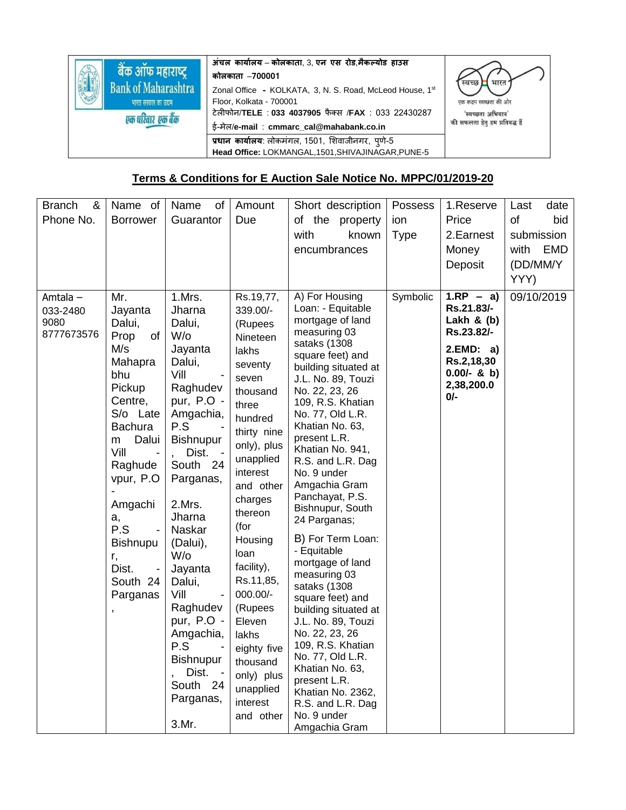|                            | अंचल कार्यालय – कोलकाता, 3, एन एस रोड,मैकल्योड हाउस      |                                |  |  |
|----------------------------|----------------------------------------------------------|--------------------------------|--|--|
| बैक ऑफ महाराष्ट्र          | कोलकाता –700001                                          | स्वच्छ<br>भारत                 |  |  |
| <b>Bank of Maharashtra</b> | Zonal Office - KOLKATA, 3, N. S. Road, McLeod House, 1st |                                |  |  |
| भारत सरकार का उद्यम        | Floor, Kolkata - 700001                                  | एक कदम स्वच्छता की ओर          |  |  |
| एक पारंवार एक बैंक         | टेलीफोन/TELE: 033 4037905 फैक्स /FAX: 033 22430287       | 'स्वच्छता अभियान'              |  |  |
|                            | ई-मेल/e-mail: cmmarc_cal@mahabank.co.in                  | की सफलता हेतु हम प्रतिबद्ध हैं |  |  |
|                            | प्रधान कार्यालय: लोकमंगल, 1501, शिवाजीनगर, पुणे-5        |                                |  |  |
|                            | Head Office: LOKMANGAL, 1501, SHIVAJINAGAR, PUNE-5       |                                |  |  |

## **Terms & Conditions for E Auction Sale Notice No. MPPC/01/2019-20**

| <b>Branch</b><br>&<br>Phone No.              | Name of<br><b>Borrower</b>                                                                                                                                                                                                                                                      | of<br>Name<br>Guarantor                                                                                                                                                                                                                                                                                                                                             | Amount<br>Due                                                                                                                                                                                                                                                                                                                                                                      | Short description<br>of the property<br>with<br>known<br>encumbrances                                                                                                                                                                                                                                                                                                                                                                                                                                                                                                                                                                                                                                                     | Possess<br>ion<br><b>Type</b> | 1.Reserve<br>Price<br>2. Earnest<br>Money<br>Deposit                                                                       | date<br>Last<br>of<br>bid<br>submission<br>EMD<br>with<br>(DD/MM/Y<br>YYY) |
|----------------------------------------------|---------------------------------------------------------------------------------------------------------------------------------------------------------------------------------------------------------------------------------------------------------------------------------|---------------------------------------------------------------------------------------------------------------------------------------------------------------------------------------------------------------------------------------------------------------------------------------------------------------------------------------------------------------------|------------------------------------------------------------------------------------------------------------------------------------------------------------------------------------------------------------------------------------------------------------------------------------------------------------------------------------------------------------------------------------|---------------------------------------------------------------------------------------------------------------------------------------------------------------------------------------------------------------------------------------------------------------------------------------------------------------------------------------------------------------------------------------------------------------------------------------------------------------------------------------------------------------------------------------------------------------------------------------------------------------------------------------------------------------------------------------------------------------------------|-------------------------------|----------------------------------------------------------------------------------------------------------------------------|----------------------------------------------------------------------------|
| Amtala $-$<br>033-2480<br>9080<br>8777673576 | Mr.<br>Jayanta<br>Dalui,<br>of<br>Prop<br>M/s<br>Mahapra<br>bhu<br>Pickup<br>Centre,<br>S/o Late<br><b>Bachura</b><br>Dalui<br>m<br>Vill<br>Raghude<br>vpur, P.O.<br>Amgachi<br>a,<br>P.S<br><b>Bishnupu</b><br>r,<br>Dist.<br>South 24<br>Parganas<br>$\overline{\phantom{a}}$ | 1.Mrs.<br>Jharna<br>Dalui,<br>$W$ /o<br>Jayanta<br>Dalui,<br>Vill<br>Raghudev<br>pur, P.O -<br>Amgachia,<br>P.S<br><b>Bishnupur</b><br>Dist.<br>South 24<br>Parganas,<br>2.Mrs.<br>Jharna<br>Naskar<br>(Dalui),<br>W/o<br>Jayanta<br>Dalui,<br>Vill<br>Raghudev<br>pur, P.O -<br>Amgachia,<br>P.S<br><b>Bishnupur</b><br>Dist.<br>South<br>24<br>Parganas,<br>3.Mr. | Rs.19,77,<br>339.00/-<br>(Rupees<br>Nineteen<br>lakhs<br>seventy<br>seven<br>thousand<br>three<br>hundred<br>thirty nine<br>only), plus<br>unapplied<br>interest<br>and other<br>charges<br>thereon<br>(for<br>Housing<br>loan<br>facility),<br>Rs.11,85,<br>000.00/-<br>(Rupees<br>Eleven<br>lakhs<br>eighty five<br>thousand<br>only) plus<br>unapplied<br>interest<br>and other | A) For Housing<br>Loan: - Equitable<br>mortgage of land<br>measuring 03<br>sataks (1308<br>square feet) and<br>building situated at<br>J.L. No. 89, Touzi<br>No. 22, 23, 26<br>109, R.S. Khatian<br>No. 77, Old L.R.<br>Khatian No. 63,<br>present L.R.<br>Khatian No. 941,<br>R.S. and L.R. Dag<br>No. 9 under<br>Amgachia Gram<br>Panchayat, P.S.<br>Bishnupur, South<br>24 Parganas;<br>B) For Term Loan:<br>- Equitable<br>mortgage of land<br>measuring 03<br>sataks (1308<br>square feet) and<br>building situated at<br>J.L. No. 89, Touzi<br>No. 22, 23, 26<br>109, R.S. Khatian<br>No. 77, Old L.R.<br>Khatian No. 63,<br>present L.R.<br>Khatian No. 2362,<br>R.S. and L.R. Dag<br>No. 9 under<br>Amgachia Gram | Symbolic                      | $1.RP - a)$<br>Rs.21.83/-<br>Lakh & $(b)$<br>Rs.23.82/-<br>2.EMD: a)<br>Rs.2,18,30<br>$0.00/-$ & b)<br>2,38,200.0<br>$0/-$ | 09/10/2019                                                                 |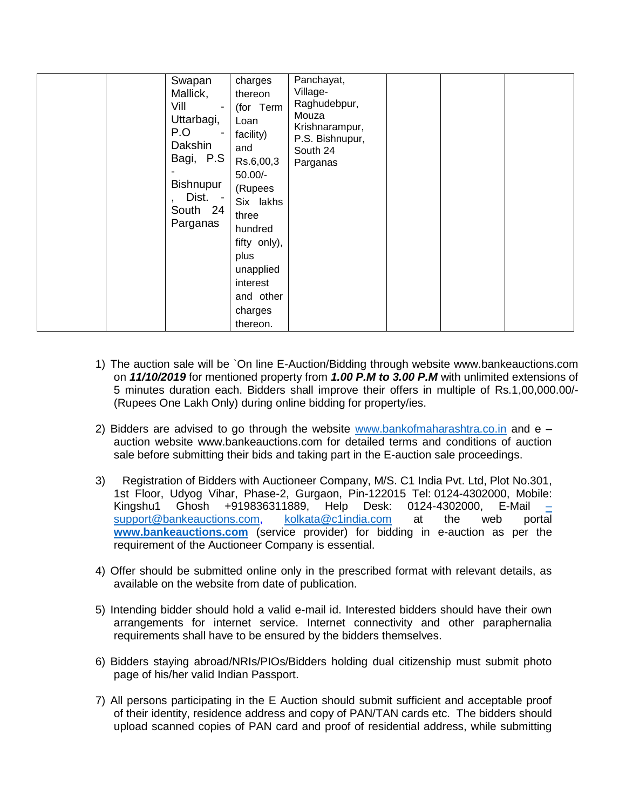| Swapan<br>Mallick,<br>Vill<br>$\blacksquare$<br>Uttarbagi,<br>P.O<br>Dakshin<br>Bagi, P.S<br><b>Bishnupur</b><br>Dist. -<br>South 24<br>Parganas | charges<br>thereon<br>(for Term<br>Loan<br>facility)<br>and<br>Rs.6,00,3<br>$50.00/-$<br>(Rupees<br>Six lakhs<br>three<br>hundred<br>fifty only),<br>plus<br>unapplied<br>interest<br>and other<br>charges<br>thereon. | Panchayat,<br>Village-<br>Raghudebpur,<br>Mouza<br>Krishnarampur,<br>P.S. Bishnupur,<br>South 24<br>Parganas |  |  |  |
|--------------------------------------------------------------------------------------------------------------------------------------------------|------------------------------------------------------------------------------------------------------------------------------------------------------------------------------------------------------------------------|--------------------------------------------------------------------------------------------------------------|--|--|--|
|--------------------------------------------------------------------------------------------------------------------------------------------------|------------------------------------------------------------------------------------------------------------------------------------------------------------------------------------------------------------------------|--------------------------------------------------------------------------------------------------------------|--|--|--|

- 1) The auction sale will be `On line E-Auction/Bidding through website www.bankeauctions.com on *11/10/2019* for mentioned property from *1.00 P.M to 3.00 P.M* with unlimited extensions of 5 minutes duration each. Bidders shall improve their offers in multiple of Rs.1,00,000.00/- (Rupees One Lakh Only) during online bidding for property/ies.
- 2) Bidders are advised to go through the website [www.bankofmaharashtra.co.in](http://www.bankofmaharashtra.co.in/) and  $e$ auction website www.bankeauctions.com for detailed terms and conditions of auction sale before submitting their bids and taking part in the E-auction sale proceedings.
- 3) Registration of Bidders with Auctioneer Company, M/S. C1 India Pvt. Ltd, Plot No.301, 1st Floor, Udyog Vihar, Phase-2, Gurgaon, Pin-122015 Tel: 0124-4302000, Mobile: Kingshu1 Ghosh +919836311889, Help Desk: 0124-4302000, E-Mail [–](mailto:–support@bankeauctions.com) [support@bankeauctions.com,](mailto:–support@bankeauctions.com) [kolkata@c1india.com](mailto:kolkata@c1india.com) at the web portal **[www.bankeauctions.com](http://www.bankeauctions.com/)** (service provider) for bidding in e-auction as per the requirement of the Auctioneer Company is essential.
- 4) Offer should be submitted online only in the prescribed format with relevant details, as available on the website from date of publication.
- 5) Intending bidder should hold a valid e-mail id. Interested bidders should have their own arrangements for internet service. Internet connectivity and other paraphernalia requirements shall have to be ensured by the bidders themselves.
- 6) Bidders staying abroad/NRIs/PIOs/Bidders holding dual citizenship must submit photo page of his/her valid Indian Passport.
- 7) All persons participating in the E Auction should submit sufficient and acceptable proof of their identity, residence address and copy of PAN/TAN cards etc. The bidders should upload scanned copies of PAN card and proof of residential address, while submitting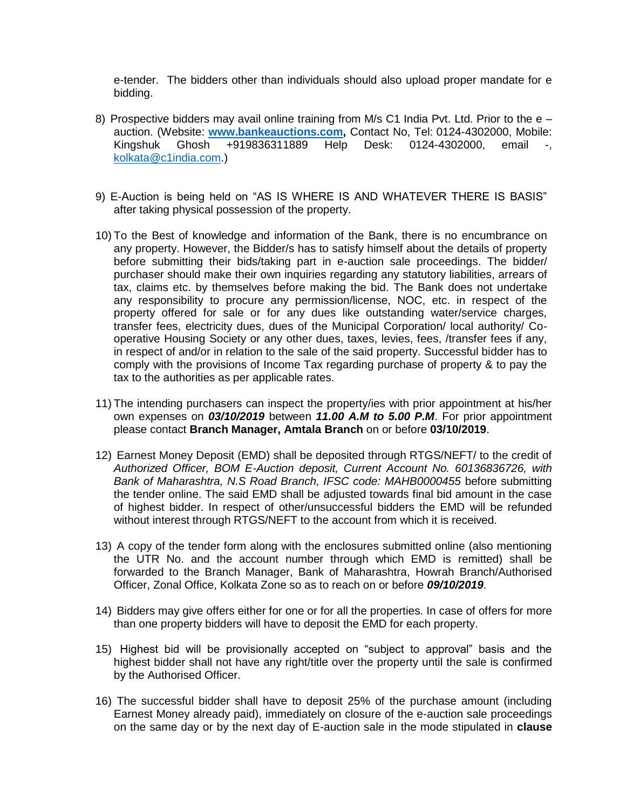e-tender. The bidders other than individuals should also upload proper mandate for e bidding.

- 8) Prospective bidders may avail online training from M/s C1 India Pvt. Ltd. Prior to the  $e$ auction. (Website: **[www.bankeauctions.com,](http://www.bankeauctions.com/)** Contact No, Tel: 0124-4302000, Mobile: Kingshuk Ghosh +919836311889 Help Desk: 0124-4302000, email -, [kolkata@c1india.com.](mailto:kolkata@c1india.com))
- 9) E-Auction is being held on "AS IS WHERE IS AND WHATEVER THERE IS BASIS" after taking physical possession of the property.
- 10) To the Best of knowledge and information of the Bank, there is no encumbrance on any property. However, the Bidder/s has to satisfy himself about the details of property before submitting their bids/taking part in e-auction sale proceedings. The bidder/ purchaser should make their own inquiries regarding any statutory liabilities, arrears of tax, claims etc. by themselves before making the bid. The Bank does not undertake any responsibility to procure any permission/license, NOC, etc. in respect of the property offered for sale or for any dues like outstanding water/service charges, transfer fees, electricity dues, dues of the Municipal Corporation/ local authority/ Cooperative Housing Society or any other dues, taxes, levies, fees, /transfer fees if any, in respect of and/or in relation to the sale of the said property. Successful bidder has to comply with the provisions of Income Tax regarding purchase of property & to pay the tax to the authorities as per applicable rates.
- 11) The intending purchasers can inspect the property/ies with prior appointment at his/her own expenses on *03/10/2019* between *11.00 A.M to 5.00 P.M*. For prior appointment please contact **Branch Manager, Amtala Branch** on or before **03/10/2019**.
- 12) Earnest Money Deposit (EMD) shall be deposited through RTGS/NEFT/ to the credit of *Authorized Officer, BOM E-Auction deposit, Current Account No. 60136836726, with Bank of Maharashtra, N.S Road Branch, IFSC code: MAHB0000455* before submitting the tender online. The said EMD shall be adjusted towards final bid amount in the case of highest bidder. In respect of other/unsuccessful bidders the EMD will be refunded without interest through RTGS/NEFT to the account from which it is received.
- 13) A copy of the tender form along with the enclosures submitted online (also mentioning the UTR No. and the account number through which EMD is remitted) shall be forwarded to the Branch Manager, Bank of Maharashtra, Howrah Branch/Authorised Officer, Zonal Office, Kolkata Zone so as to reach on or before *09/10/2019*.
- 14) Bidders may give offers either for one or for all the properties. In case of offers for more than one property bidders will have to deposit the EMD for each property.
- 15) Highest bid will be provisionally accepted on "subject to approval" basis and the highest bidder shall not have any right/title over the property until the sale is confirmed by the Authorised Officer.
- 16) The successful bidder shall have to deposit 25% of the purchase amount (including Earnest Money already paid), immediately on closure of the e-auction sale proceedings on the same day or by the next day of E-auction sale in the mode stipulated in **clause**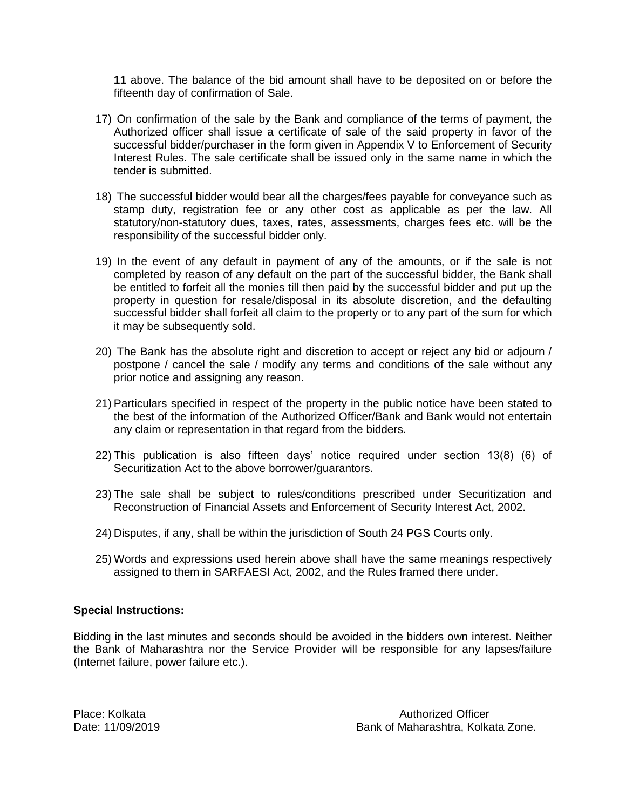**11** above. The balance of the bid amount shall have to be deposited on or before the fifteenth day of confirmation of Sale.

- 17) On confirmation of the sale by the Bank and compliance of the terms of payment, the Authorized officer shall issue a certificate of sale of the said property in favor of the successful bidder/purchaser in the form given in Appendix V to Enforcement of Security Interest Rules. The sale certificate shall be issued only in the same name in which the tender is submitted.
- 18) The successful bidder would bear all the charges/fees payable for conveyance such as stamp duty, registration fee or any other cost as applicable as per the law. All statutory/non-statutory dues, taxes, rates, assessments, charges fees etc. will be the responsibility of the successful bidder only.
- 19) In the event of any default in payment of any of the amounts, or if the sale is not completed by reason of any default on the part of the successful bidder, the Bank shall be entitled to forfeit all the monies till then paid by the successful bidder and put up the property in question for resale/disposal in its absolute discretion, and the defaulting successful bidder shall forfeit all claim to the property or to any part of the sum for which it may be subsequently sold.
- 20) The Bank has the absolute right and discretion to accept or reject any bid or adjourn / postpone / cancel the sale / modify any terms and conditions of the sale without any prior notice and assigning any reason.
- 21) Particulars specified in respect of the property in the public notice have been stated to the best of the information of the Authorized Officer/Bank and Bank would not entertain any claim or representation in that regard from the bidders.
- 22) This publication is also fifteen days' notice required under section 13(8) (6) of Securitization Act to the above borrower/guarantors.
- 23) The sale shall be subject to rules/conditions prescribed under Securitization and Reconstruction of Financial Assets and Enforcement of Security Interest Act, 2002.
- 24) Disputes, if any, shall be within the jurisdiction of South 24 PGS Courts only.
- 25) Words and expressions used herein above shall have the same meanings respectively assigned to them in SARFAESI Act, 2002, and the Rules framed there under.

## **Special Instructions:**

Bidding in the last minutes and seconds should be avoided in the bidders own interest. Neither the Bank of Maharashtra nor the Service Provider will be responsible for any lapses/failure (Internet failure, power failure etc.).

Place: Kolkata Authorized Officer Date: 11/09/2019 Bank of Maharashtra, Kolkata Zone.